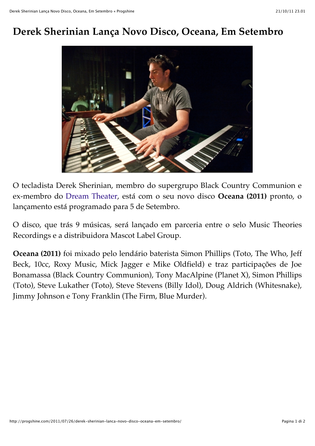## **Derek Sherinian Lança Novo Disco, Oceana, Em Setembro**



O tecladista Derek Sherinian, membro do supergrupo Black Country Communion e ex-membro do Dream Theater, está com o seu novo disco **Oceana (2011)** pronto, o lançamento está programado para 5 de Setembro.

O disco, que trás 9 músicas, será lançado em parceria entre o selo Music Theories Recordings e a distribuidora Mascot Label Group.

**Oceana (2011)** foi mixado pelo lendário baterista Simon Phillips (Toto, The Who, Jeff Beck, 10cc, Roxy Music, Mick Jagger e Mike Oldfield) e traz participações de Joe Bonamassa (Black Country Communion), Tony MacAlpine (Planet X), Simon Phillips (Toto), Steve Lukather (Toto), Steve Stevens (Billy Idol), Doug Aldrich (Whitesnake), Jimmy Johnson e Tony Franklin (The Firm, Blue Murder).